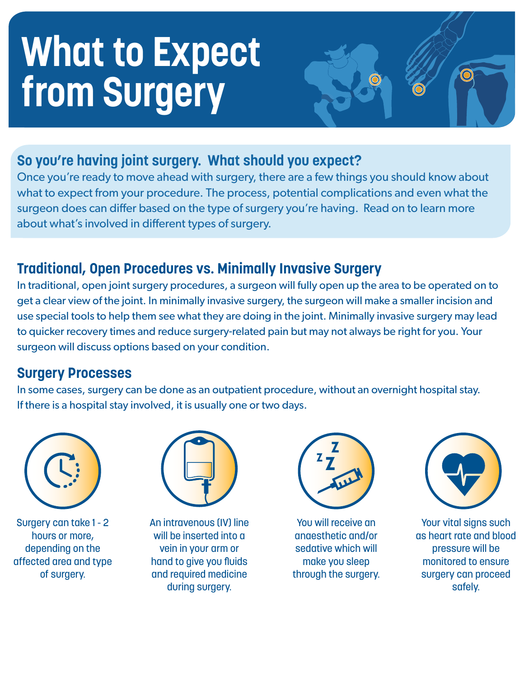# **What to Expect from Surgery**

#### **So you're having joint surgery. What should you expect?**

Once you're ready to move ahead with surgery, there are a few things you should know about what to expect from your procedure. The process, potential complications and even what the surgeon does can differ based on the type of surgery you're having. Read on to learn more about what's involved in different types of surgery.

#### **Traditional, Open Procedures vs. Minimally Invasive Surgery**

In traditional, open joint surgery procedures, a surgeon will fully open up the area to be operated on to get a clear view of the joint. In minimally invasive surgery, the surgeon will make a smaller incision and use special tools to help them see what they are doing in the joint. Minimally invasive surgery may lead to quicker recovery times and reduce surgery-related pain but may not always be right for you. Your surgeon will discuss options based on your condition.

#### **Surgery Processes**

In some cases, surgery can be done as an outpatient procedure, without an overnight hospital stay. If there is a hospital stay involved, it is usually one or two days.



Surgery can take 1 - 2 hours or more, depending on the affected area and type of surgery.



An intravenous (IV) line will be inserted into a vein in your arm or hand to give you fluids and required medicine during surgery.



You will receive an anaesthetic and/or sedative which will make you sleep through the surgery.



Your vital signs such as heart rate and blood pressure will be monitored to ensure surgery can proceed safely.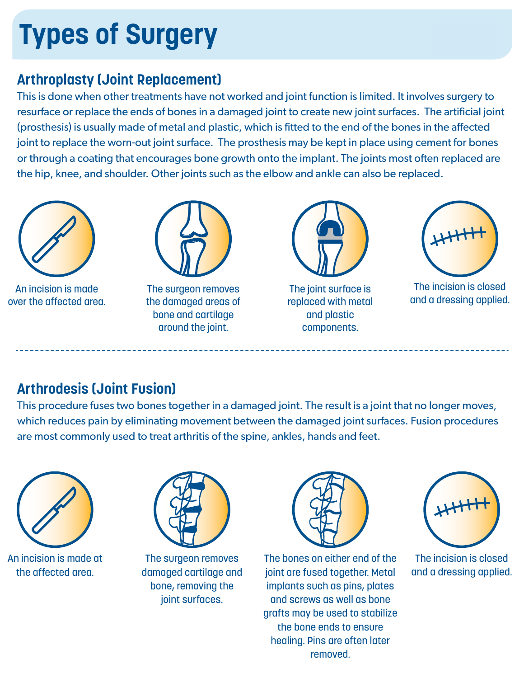## **Types of Surgery**

#### **Arthroplasty (Joint Replacement)**

This is done when other treatments have not worked and joint function is limited. It involves surgery to resurface or replace the ends of bones in a damaged joint to create new joint surfaces. The artificial joint (prosthesis) is usually made of metal and plastic, which is fitted to the end of the bones in the affected joint to replace the worn-out joint surface. The prosthesis may be kept in place using cement for bones or through a coating that encourages bone growth onto the implant. The joints most often replaced are the hip, knee, and shoulder. Other joints such as the elbow and ankle can also be replaced.



An incision is made over the affected area.



The surgeon removes the damaged areas of bone and cartilage around the joint.



The joint surface is replaced with metal and plastic components.



The incision is closed and a dressing applied.

### **Arthrodesis (Joint Fusion)**

This procedure fuses two bones together in a damaged joint. The result is a joint that no longer moves, which reduces pain by eliminating movement between the damaged joint surfaces. Fusion procedures are most commonly used to treat arthritis of the spine, ankles, hands and feet.



An incision is made at the affected area.



The surgeon removes damaged cartilage and bone, removing the joint surfaces.



The bones on either end of the joint are fused together. Metal implants such as pins, plates and screws as well as bone grafts may be used to stabilize the bone ends to ensure healing. Pins are often later removed.



The incision is closed and a dressing applied.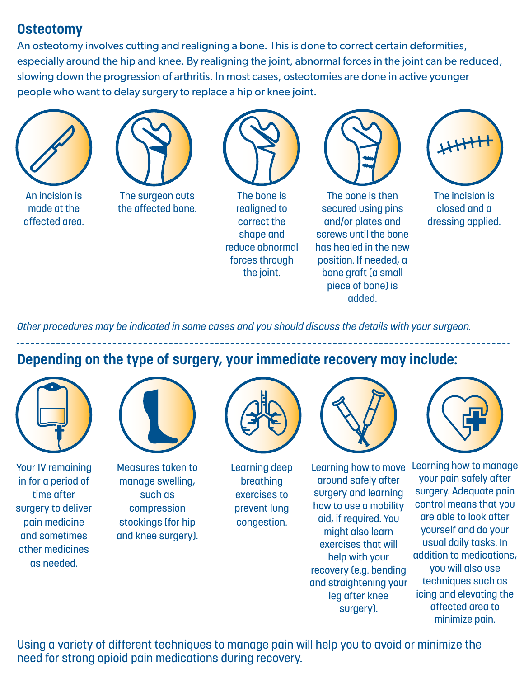#### **Osteotomy**

An osteotomy involves cutting and realigning a bone. This is done to correct certain deformities, especially around the hip and knee. By realigning the joint, abnormal forces in the joint can be reduced, slowing down the progression of arthritis. In most cases, osteotomies are done in active younger people who want to delay surgery to replace a hip or knee joint.





An incision is made at the affected area.

The surgeon cuts the affected bone.



The bone is realigned to correct the shape and reduce abnormal forces through the joint.



The bone is then secured using pins and/or plates and screws until the bone has healed in the new position. If needed, a bone graft (a small piece of bone) is added.



The incision is closed and a dressing applied.

*Other procedures may be indicated in some cases and you should discuss the details with your surgeon.* 

**Depending on the type of surgery, your immediate recovery may include:** 



Your IV remaining in for a period of time after surgery to deliver pain medicine and sometimes other medicines as needed.



Measures taken to manage swelling, such as compression stockings (for hip and knee surgery).



Learning deep breathing exercises to prevent lung congestion.



Learning how to move around safely after surgery and learning how to use a mobility aid, if required. You might also learn exercises that will help with your recovery (e.g. bending and straightening your leg after knee surgery).



Learning how to manage your pain safely after surgery. Adequate pain control means that you are able to look after yourself and do your usual daily tasks. In addition to medications, you will also use techniques such as icing and elevating the affected area to minimize pain.

Using a variety of different techniques to manage pain will help you to avoid or minimize the need for strong opioid pain medications during recovery.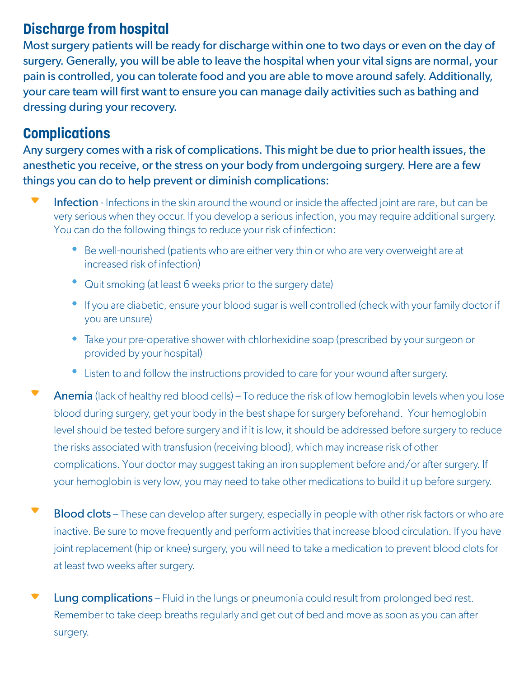#### **Discharge from hospital**

Most surgery patients will be ready for discharge within one to two days or even on the day of surgery. Generally, you will be able to leave the hospital when your vital signs are normal, your pain is controlled, you can tolerate food and you are able to move around safely. Additionally, your care team will first want to ensure you can manage daily activities such as bathing and dressing during your recovery.

#### **Complications**

Any surgery comes with a risk of complications. This might be due to prior health issues, the anesthetic you receive, or the stress on your body from undergoing surgery. Here are a few things you can do to help prevent or diminish complications:

- Infection Infections in the skin around the wound or inside the affected joint are rare, but can be very serious when they occur. If you develop a serious infection, you may require additional surgery. You can do the following things to reduce your risk of infection:
	- Be well-nourished (patients who are either very thin or who are very overweight are at increased risk of infection)
	- Quit smoking (at least 6 weeks prior to the surgery date)
	- If you are diabetic, ensure your blood sugar is well controlled (check with your family doctor if you are unsure)
	- Take your pre-operative shower with chlorhexidine soap (prescribed by your surgeon or provided by your hospital)
	- Listen to and follow the instructions provided to care for your wound after surgery.
- Anemia (lack of healthy red blood cells) To reduce the risk of low hemoglobin levels when you lose blood during surgery, get your body in the best shape for surgery beforehand. Your hemoglobin level should be tested before surgery and if it is low, it should be addressed before surgery to reduce the risks associated with transfusion (receiving blood), which may increase risk of other complications. Your doctor may suggest taking an iron supplement before and/or after surgery. If your hemoglobin is very low, you may need to take other medications to build it up before surgery.
- Blood clots These can develop after surgery, especially in people with other risk factors or who are inactive. Be sure to move frequently and perform activities that increase blood circulation. If you have joint replacement (hip or knee) surgery, you will need to take a medication to prevent blood clots for at least two weeks after surgery.
- Lung complications Fluid in the lungs or pneumonia could result from prolonged bed rest. Remember to take deep breaths regularly and get out of bed and move as soon as you can after surgery.